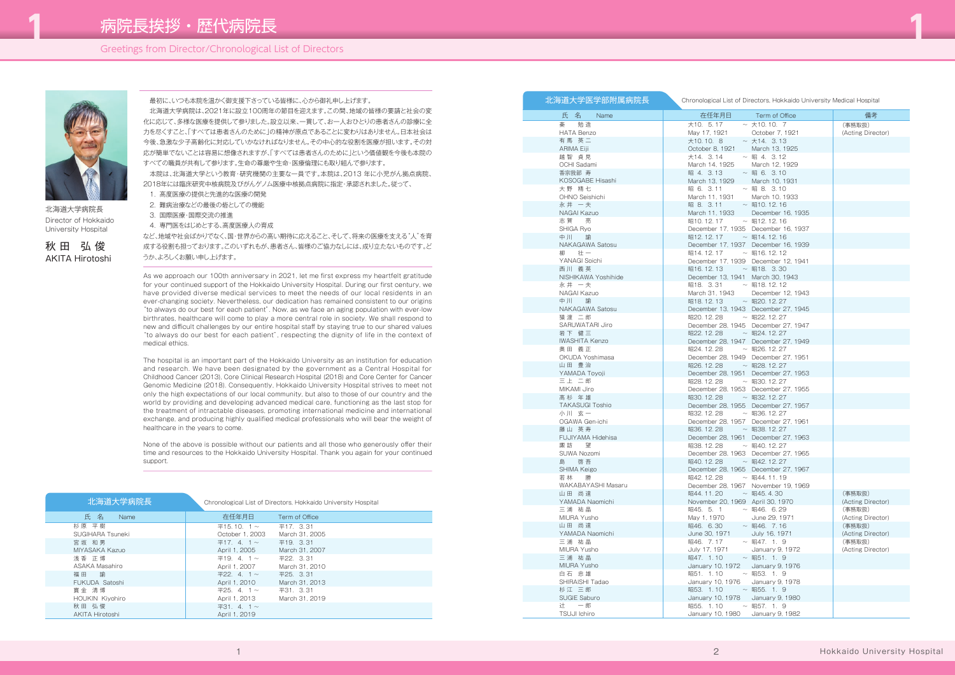## Greetings from Director/Chronological List of Directors



北海道大学病院長 Director of Hokkaido University Hospital

秋 田 弘 俊 AKITA Hirotoshi

#### 最初に、いつも本院を温かく御支援下さっている皆様に、心から御礼申し上げます。

 北海道大学病院は、2021年に設立100周年の節目を迎えます。この間、地域の皆様の要請と社会の変 化に応じて、多様な医療を提供して参りました。設立以来、一貫して、お一人おひとりの患者さんの診療に全 力を尽くすこと、「すべては患者さんのために」の精神が原点であることに変わりはありません。日本社会は 今後、急激な少子高齢化に対応していかなければなりません。その中心的な役割を医療が担います。その対 応が簡単でないことは容易に想像されますが、「すべては患者さんのために」という価値観を今後も本院の すべての職員が共有して参ります。生命の尊厳や生命・医療倫理にも取り組んで参ります。

 本院は、北海道大学という教育・研究機関の主要な一員です。本院は、2013 年に小児がん拠点病院、 2018年には臨床研究中核病院及びがんゲノム医療中核拠点病院に指定・承認されました。従って、

- 1. 高度医療の提供と先進的な医療の開発
- 2. 難病治療などの最後の砦としての機能
- 3. 国際医療・国際交流の推進
- 4. 専門医をはじめとする、高度医療人の育成

など、地域や社会ばかりでなく、国・世界からの高い期待に応えること、そして、将来の医療を支える"人"を育 成する役割も担っております。このいずれもが、患者さん、皆様のご協力なしには、成り立たないものです。ど うか、よろしくお願い申し上げます。

As we approach our 100th anniversary in 2021, let me first express my heartfelt gratitude for your continued support of the Hokkaido University Hospital. During our first century, we have provided diverse medical services to meet the needs of our local residents in an ever-changing society. Nevertheless, our dedication has remained consistent to our origins "to always do our best for each patient". Now, as we face an aging population with ever-low birthrates, healthcare will come to play a more central role in society. We shall respond to new and difficult challenges by our entire hospital staff by staying true to our shared values "to always do our best for each patient", respecting the dignity of life in the context of medical ethics.

The hospital is an important part of the Hokkaido University as an institution for education and research. We have been designated by the government as a Central Hospital for Childhood Cancer (2013), Core Clinical Research Hospital (2018) and Core Center for Cancer Genomic Medicine (2018). Consequently, Hokkaido University Hospital strives to meet not only the high expectations of our local community, but also to those of our country and the world by providing and developing advanced medical care, functioning as the last stop for the treatment of intractable diseases, promoting international medicine and international exchange, and producing highly qualified medical professionals who will bear the weight of healthcare in the years to come.

None of the above is possible without our patients and all those who generously offer their time and resources to the Hokkaido University Hospital. Thank you again for your continued support.

| 北海道大学病院長                        | Chronological List of Directors, Hokkaido University Hospital |                |  |
|---------------------------------|---------------------------------------------------------------|----------------|--|
| 氏名<br>Name                      | 在任年月日                                                         | Term of Office |  |
| 杉原 平樹                           | $\Psi$ 15.10.1~                                               | 平17. 3.31      |  |
| SUGIHARA Tsuneki                | October 1, 2003                                               | March 31, 2005 |  |
| 宮坂 和男                           | $\Psi$ 17. 4. 1 ~                                             | 平19. 3.31      |  |
| MIYASAKA Kazuo                  | April 1, 2005                                                 | March 31, 2007 |  |
| 浅香 正博                           | $\Psi$ 19. 4. 1 ~                                             | 平22. 3.31      |  |
| ASAKA Masahiro                  | April 1, 2007                                                 | March 31, 2010 |  |
| 福田論                             | $\mp 22.4.1$ ~                                                | 平25. 3.31      |  |
| FUKUDA Satoshi                  | April 1, 2010                                                 | March 31, 2013 |  |
| 寶 余 清博                          | $\frac{\text{425}}{1}$ 4. 1 ~                                 | 平31. 3.31      |  |
| HOUKIN Kiyohiro                 | April 1, 2013                                                 | March 31, 2019 |  |
| 秋田 弘俊<br><b>AKITA Hirotoshi</b> | $\overline{4}31.4.1\sim$<br>April 1, 2019                     |                |  |

| 北海道大学医学部附属病院長<br>Chronological List of Directors, Hokkaido University Medical Hospital |                                                                                           |                                     |                   |  |  |
|----------------------------------------------------------------------------------------|-------------------------------------------------------------------------------------------|-------------------------------------|-------------------|--|--|
| 氏 名 Name                                                                               | 在任年月日                                                                                     | <b>Example Term of Office</b>       | 備考                |  |  |
| 秦勉造                                                                                    | 大10. 5.17                                                                                 | $\sim$ $\pm$ 10.10.7                | (事務取扱)            |  |  |
| HATA Benzo                                                                             | May 17, 1921                                                                              | October 7, 1921                     | (Acting Director) |  |  |
| 有馬 英二                                                                                  | 大10.10.8                                                                                  | $\sim$ $\pm$ 14. 3.13               |                   |  |  |
| ARIMA Eiji                                                                             | October 8, 1921 March 13, 1925                                                            |                                     |                   |  |  |
| 越智 貞見                                                                                  | 大14. 3.14                                                                                 | $\sim$ 昭 4. 3.12                    |                   |  |  |
| OCHI Sadami                                                                            | March 14, 1925 March 12, 19<br>昭 4. 3.13 ~ 昭 6. 3.10                                      | March 12, 1929                      |                   |  |  |
| 香宗我部 寿<br>KOSOGABE Hisashi                                                             | March 13, 1929   March 10, 1931                                                           |                                     |                   |  |  |
| 大野 精七                                                                                  | 昭 6. 3.11                                                                                 | $~\sim~$ H2 8. 3.10                 |                   |  |  |
| OHNO Seishichi                                                                         | March 11, 1931                                                                            | March 10, 1933                      |                   |  |  |
| 永井 一夫                                                                                  | 昭 8. 3.11 ~ 昭10.12.16                                                                     |                                     |                   |  |  |
| NAGAI Kazuo                                                                            |                                                                                           | March 11, 1933 December 16, 1935    |                   |  |  |
| 志賀 亮                                                                                   | 昭10.12.17 ~ 昭12.12.16                                                                     |                                     |                   |  |  |
| SHIGA Ryo                                                                              |                                                                                           | December 17, 1935 December 16, 1937 |                   |  |  |
| 中川 諭                                                                                   | 昭12.12.17 ~ 昭14.12.16                                                                     |                                     |                   |  |  |
| NAKAGAWA Satosu                                                                        |                                                                                           | December 17, 1937 December 16, 1939 |                   |  |  |
| 柳 壮一                                                                                   | 昭14.12.17 ~ 昭16.12.12                                                                     |                                     |                   |  |  |
| YANAGI Soichi                                                                          | December 17, 1939 December 12, 1941                                                       |                                     |                   |  |  |
| 西川 義英                                                                                  | 昭16.12.13 ~ 昭18. 3.30                                                                     |                                     |                   |  |  |
| NISHIKAWA Yoshihide                                                                    | December 13, 1941 March 30, 1943                                                          |                                     |                   |  |  |
| 永井 一夫                                                                                  | 昭18. 3.31 ~ 昭18.12.12                                                                     |                                     |                   |  |  |
| NAGAI Kazuo                                                                            | March 31, 1943<br>$\frac{1}{2}$ H $\frac{1}{2}$ 18.12.13 ~ H $\approx$ H $\frac{1}{2}$ 27 | December 12, 1943                   |                   |  |  |
| 中川 諭                                                                                   |                                                                                           |                                     |                   |  |  |
| NAKAGAWA Satosu                                                                        | 昭20.12.28 ~ 昭22.12.27                                                                     | December 13, 1943 December 27, 1945 |                   |  |  |
| 猿渡 二郎<br>SARUWATARI Jiro                                                               |                                                                                           | December 28, 1945 December 27, 1947 |                   |  |  |
| 岩下 健三                                                                                  | 昭22.12.28 ~ 昭24.12.27                                                                     |                                     |                   |  |  |
| <b>IWASHITA Kenzo</b>                                                                  |                                                                                           | December 28, 1947 December 27, 1949 |                   |  |  |
| 奥田 義正                                                                                  | 昭24.12.28 ~ 昭26.12.27                                                                     |                                     |                   |  |  |
| OKUDA Yoshimasa                                                                        | December 28, 1949 December 27, 1951                                                       |                                     |                   |  |  |
| 山田 豊治                                                                                  | 昭26.12.28 ~ 昭28.12.27                                                                     |                                     |                   |  |  |
| YAMADA Toyoji                                                                          |                                                                                           | December 28, 1951 December 27, 1953 |                   |  |  |
| 三上 二郎                                                                                  | 昭28.12.28 ~ 昭30.12.27                                                                     |                                     |                   |  |  |
| MIKAMI Jiro                                                                            |                                                                                           | December 28, 1953 December 27, 1955 |                   |  |  |
| 高杉 年雄                                                                                  | 昭30.12.28 ~ 昭32.12.27                                                                     |                                     |                   |  |  |
| <b>TAKASUGI Toshio</b>                                                                 |                                                                                           | December 28, 1955 December 27, 1957 |                   |  |  |
| 小川 玄一                                                                                  | 昭32.12.28 ~ 昭36.12.27                                                                     |                                     |                   |  |  |
| OGAWA Gen-ichi                                                                         | December 28, 1957 December 27, 1961                                                       |                                     |                   |  |  |
| 藤山 英寿<br>FUJIYAMA Hidehisa                                                             | 昭36.12.28 ~ 昭38.12.27                                                                     | December 28, 1961 December 27, 1963 |                   |  |  |
| 諏 訪 望                                                                                  | 昭38.12.28 ~ 昭40.12.27                                                                     |                                     |                   |  |  |
| SUWA Nozomi                                                                            |                                                                                           | December 28, 1963 December 27, 1965 |                   |  |  |
| 島<br>啓吾                                                                                | 昭40.12.28 ~ 昭42.12.27                                                                     |                                     |                   |  |  |
| SHIMA Keigo                                                                            |                                                                                           | December 28, 1965 December 27, 1967 |                   |  |  |
| 若林<br>勝                                                                                | $W42.12.28 \sim W44.11.19$                                                                |                                     |                   |  |  |
| WAKABAYASHI Masaru                                                                     |                                                                                           | December 28, 1967 November 19, 1969 |                   |  |  |
| 山田 尚達                                                                                  | 昭44.11.20 ~ 昭45.4.30                                                                      |                                     | (事務取扱)            |  |  |
| YAMADA Naomichi                                                                        | November 20, 1969 April 30, 1970                                                          |                                     | (Acting Director) |  |  |
| 三浦 祐晶                                                                                  | 昭45. 5. 1 ~ 昭46. 6.29                                                                     |                                     | (事務取扱)            |  |  |
| MIURA Yusho                                                                            | May 1, 1970                                                                               | June 29, 1971                       | (Acting Director) |  |  |
| 山田 尚達                                                                                  | 昭46. 6.30 ~ 昭46. 7.16                                                                     |                                     | (事務取扱)            |  |  |
| YAMADA Naomichi                                                                        | June 30, 1971 July 16, 1971                                                               |                                     | (Acting Director) |  |  |
| 三浦 祐晶                                                                                  | $W46. 7.17 \sim W47. 1.9$                                                                 |                                     | (事務取扱)            |  |  |
| MIURA Yusho<br>三浦 祐晶                                                                   | July 17, 1971<br>昭47. 1.10 ~ 昭51. 1. 9                                                    | January 9, 1972                     | (Acting Director) |  |  |
| MIURA Yusho                                                                            | January 10, 1972   January 9, 1976                                                        |                                     |                   |  |  |
| 白石 忠雄                                                                                  | 昭51. 1.10 ~ 昭53. 1. 9                                                                     |                                     |                   |  |  |
| SHIRAISHI Tadao                                                                        | January 10, 1976   January 9, 1978                                                        |                                     |                   |  |  |
| 杉江 三郎                                                                                  | 昭53. 1.10 ~ 昭55. 1.9                                                                      |                                     |                   |  |  |
| SUGIE Saburo                                                                           | January 10, 1978   January 9, 1980                                                        |                                     |                   |  |  |
| 辻 一郎                                                                                   | 昭55. 1.10 ~ 昭57. 1. 9                                                                     |                                     |                   |  |  |
| TSUJI Ichiro                                                                           | January 10, 1980   January 9, 1982                                                        |                                     |                   |  |  |